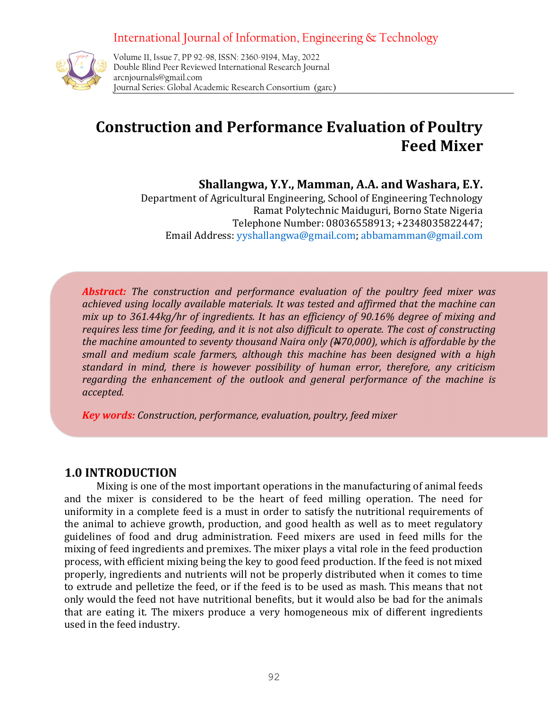# International Journal of Information, Engineering & Technology



International Journal of Information, Engineering & Technology Volume 11, Issue 7, PP 92-98, ISSN: 2360-9194, May, 2022 Double Blind Peer Reviewed International Research Journal arcnjournals@gmail.com Journal Series: Global Academic Research Consortium (garc)

## Construction and Performance Evaluation of Poultry Feed Mixer

Shallangwa, Y.Y., Mamman, A.A. and Washara, E.Y.

Department of Agricultural Engineering, School of Engineering Technology Ramat Polytechnic Maiduguri, Borno State Nigeria Telephone Number: 08036558913; +2348035822447; Email Address: yyshallangwa@gmail.com; abbamamman@gmail.com

Abstract: The construction and performance evaluation of the poultry feed mixer was achieved using locally available materials. It was tested and affirmed that the machine can mix up to 361.44kg/hr of ingredients. It has an efficiency of 90.16% degree of mixing and requires less time for feeding, and it is not also difficult to operate. The cost of constructing the machine amounted to seventy thousand Naira only  $(A470,000)$ , which is affordable by the small and medium scale farmers, although this machine has been designed with a high standard in mind, there is however possibility of human error, therefore, any criticism regarding the enhancement of the outlook and general performance of the machine is accepted.

**Key words:** Construction, performance, evaluation, poultry, feed mixer

## 1.0 INTRODUCTION

Mixing is one of the most important operations in the manufacturing of animal feeds and the mixer is considered to be the heart of feed milling operation. The need for uniformity in a complete feed is a must in order to satisfy the nutritional requirements of the animal to achieve growth, production, and good health as well as to meet regulatory guidelines of food and drug administration. Feed mixers are used in feed mills for the mixing of feed ingredients and premixes. The mixer plays a vital role in the feed production process, with efficient mixing being the key to good feed production. If the feed is not mixed properly, ingredients and nutrients will not be properly distributed when it comes to time to extrude and pelletize the feed, or if the feed is to be used as mash. This means that not only would the feed not have nutritional benefits, but it would also be bad for the animals that are eating it. The mixers produce a very homogeneous mix of different ingredients used in the feed industry.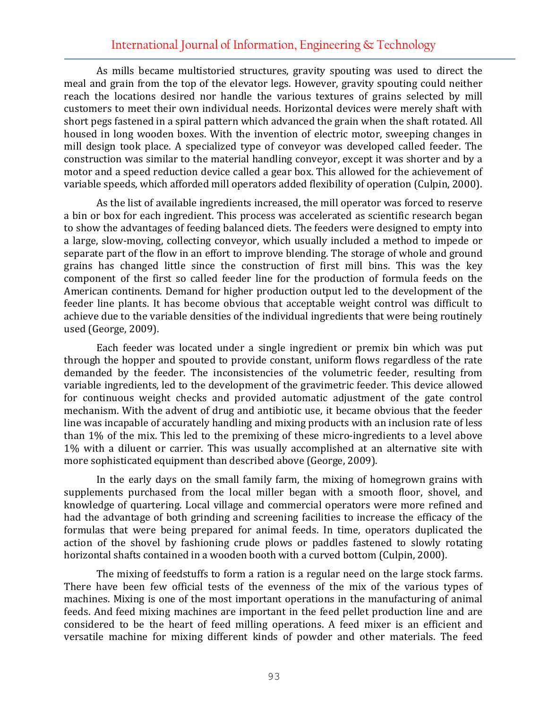As mills became multistoried structures, gravity spouting was used to direct the meal and grain from the top of the elevator legs. However, gravity spouting could neither reach the locations desired nor handle the various textures of grains selected by mill customers to meet their own individual needs. Horizontal devices were merely shaft with short pegs fastened in a spiral pattern which advanced the grain when the shaft rotated. All housed in long wooden boxes. With the invention of electric motor, sweeping changes in mill design took place. A specialized type of conveyor was developed called feeder. The construction was similar to the material handling conveyor, except it was shorter and by a motor and a speed reduction device called a gear box. This allowed for the achievement of variable speeds, which afforded mill operators added flexibility of operation (Culpin, 2000).

As the list of available ingredients increased, the mill operator was forced to reserve a bin or box for each ingredient. This process was accelerated as scientific research began to show the advantages of feeding balanced diets. The feeders were designed to empty into a large, slow-moving, collecting conveyor, which usually included a method to impede or separate part of the flow in an effort to improve blending. The storage of whole and ground grains has changed little since the construction of first mill bins. This was the key component of the first so called feeder line for the production of formula feeds on the American continents. Demand for higher production output led to the development of the feeder line plants. It has become obvious that acceptable weight control was difficult to achieve due to the variable densities of the individual ingredients that were being routinely used (George, 2009).

Each feeder was located under a single ingredient or premix bin which was put through the hopper and spouted to provide constant, uniform flows regardless of the rate demanded by the feeder. The inconsistencies of the volumetric feeder, resulting from variable ingredients, led to the development of the gravimetric feeder. This device allowed for continuous weight checks and provided automatic adjustment of the gate control mechanism. With the advent of drug and antibiotic use, it became obvious that the feeder line was incapable of accurately handling and mixing products with an inclusion rate of less than 1% of the mix. This led to the premixing of these micro-ingredients to a level above 1% with a diluent or carrier. This was usually accomplished at an alternative site with more sophisticated equipment than described above (George, 2009).

In the early days on the small family farm, the mixing of homegrown grains with supplements purchased from the local miller began with a smooth floor, shovel, and knowledge of quartering. Local village and commercial operators were more refined and had the advantage of both grinding and screening facilities to increase the efficacy of the formulas that were being prepared for animal feeds. In time, operators duplicated the action of the shovel by fashioning crude plows or paddles fastened to slowly rotating horizontal shafts contained in a wooden booth with a curved bottom (Culpin, 2000).

The mixing of feedstuffs to form a ration is a regular need on the large stock farms. There have been few official tests of the evenness of the mix of the various types of machines. Mixing is one of the most important operations in the manufacturing of animal feeds. And feed mixing machines are important in the feed pellet production line and are considered to be the heart of feed milling operations. A feed mixer is an efficient and versatile machine for mixing different kinds of powder and other materials. The feed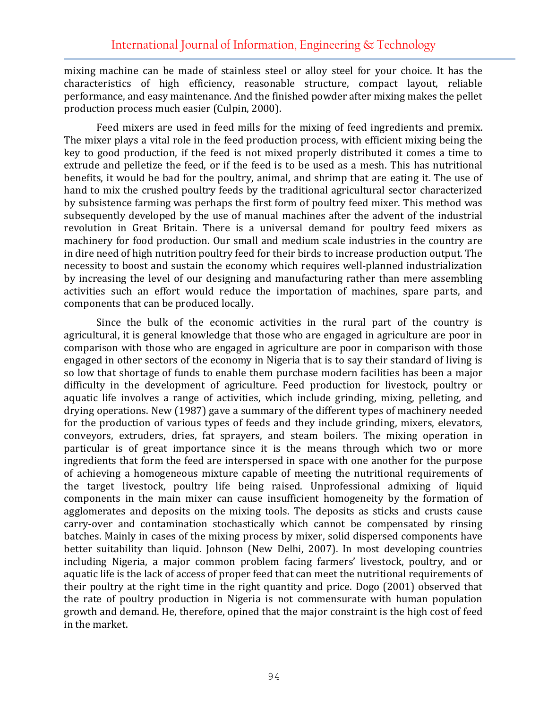mixing machine can be made of stainless steel or alloy steel for your choice. It has the characteristics of high efficiency, reasonable structure, compact layout, reliable performance, and easy maintenance. And the finished powder after mixing makes the pellet production process much easier (Culpin, 2000).

Feed mixers are used in feed mills for the mixing of feed ingredients and premix. The mixer plays a vital role in the feed production process, with efficient mixing being the key to good production, if the feed is not mixed properly distributed it comes a time to extrude and pelletize the feed, or if the feed is to be used as a mesh. This has nutritional benefits, it would be bad for the poultry, animal, and shrimp that are eating it. The use of hand to mix the crushed poultry feeds by the traditional agricultural sector characterized by subsistence farming was perhaps the first form of poultry feed mixer. This method was subsequently developed by the use of manual machines after the advent of the industrial revolution in Great Britain. There is a universal demand for poultry feed mixers as machinery for food production. Our small and medium scale industries in the country are in dire need of high nutrition poultry feed for their birds to increase production output. The necessity to boost and sustain the economy which requires well-planned industrialization by increasing the level of our designing and manufacturing rather than mere assembling activities such an effort would reduce the importation of machines, spare parts, and components that can be produced locally.

Since the bulk of the economic activities in the rural part of the country is agricultural, it is general knowledge that those who are engaged in agriculture are poor in comparison with those who are engaged in agriculture are poor in comparison with those engaged in other sectors of the economy in Nigeria that is to say their standard of living is so low that shortage of funds to enable them purchase modern facilities has been a major difficulty in the development of agriculture. Feed production for livestock, poultry or aquatic life involves a range of activities, which include grinding, mixing, pelleting, and drying operations. New (1987) gave a summary of the different types of machinery needed for the production of various types of feeds and they include grinding, mixers, elevators, conveyors, extruders, dries, fat sprayers, and steam boilers. The mixing operation in particular is of great importance since it is the means through which two or more ingredients that form the feed are interspersed in space with one another for the purpose of achieving a homogeneous mixture capable of meeting the nutritional requirements of the target livestock, poultry life being raised. Unprofessional admixing of liquid components in the main mixer can cause insufficient homogeneity by the formation of agglomerates and deposits on the mixing tools. The deposits as sticks and crusts cause carry-over and contamination stochastically which cannot be compensated by rinsing batches. Mainly in cases of the mixing process by mixer, solid dispersed components have better suitability than liquid. Johnson (New Delhi, 2007). In most developing countries including Nigeria, a major common problem facing farmers' livestock, poultry, and or aquatic life is the lack of access of proper feed that can meet the nutritional requirements of their poultry at the right time in the right quantity and price. Dogo (2001) observed that the rate of poultry production in Nigeria is not commensurate with human population growth and demand. He, therefore, opined that the major constraint is the high cost of feed in the market.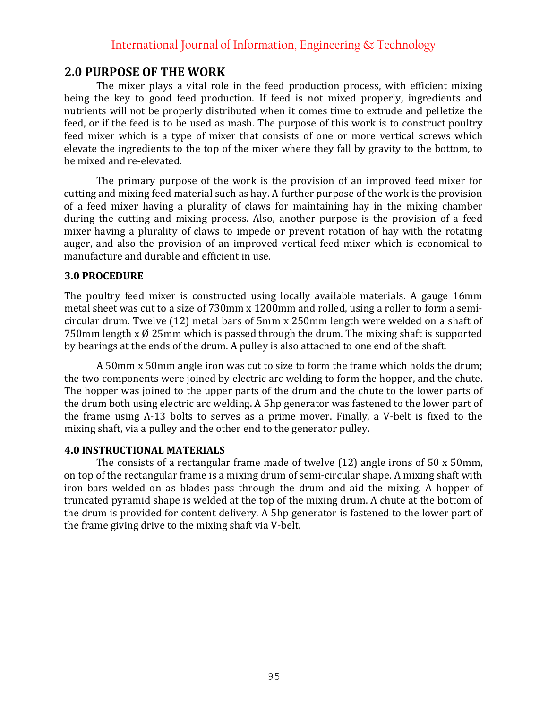### 2.0 PURPOSE OF THE WORK

The mixer plays a vital role in the feed production process, with efficient mixing being the key to good feed production. If feed is not mixed properly, ingredients and nutrients will not be properly distributed when it comes time to extrude and pelletize the feed, or if the feed is to be used as mash. The purpose of this work is to construct poultry feed mixer which is a type of mixer that consists of one or more vertical screws which elevate the ingredients to the top of the mixer where they fall by gravity to the bottom, to be mixed and re-elevated.

The primary purpose of the work is the provision of an improved feed mixer for cutting and mixing feed material such as hay. A further purpose of the work is the provision of a feed mixer having a plurality of claws for maintaining hay in the mixing chamber during the cutting and mixing process. Also, another purpose is the provision of a feed mixer having a plurality of claws to impede or prevent rotation of hay with the rotating auger, and also the provision of an improved vertical feed mixer which is economical to manufacture and durable and efficient in use.

#### 3.0 PROCEDURE

The poultry feed mixer is constructed using locally available materials. A gauge 16mm metal sheet was cut to a size of 730mm x 1200mm and rolled, using a roller to form a semicircular drum. Twelve (12) metal bars of 5mm x 250mm length were welded on a shaft of 750mm length  $x \not\!\theta$  25mm which is passed through the drum. The mixing shaft is supported by bearings at the ends of the drum. A pulley is also attached to one end of the shaft.

 A 50mm x 50mm angle iron was cut to size to form the frame which holds the drum; the two components were joined by electric arc welding to form the hopper, and the chute. The hopper was joined to the upper parts of the drum and the chute to the lower parts of the drum both using electric arc welding. A 5hp generator was fastened to the lower part of the frame using A-13 bolts to serves as a prime mover. Finally, a V-belt is fixed to the mixing shaft, via a pulley and the other end to the generator pulley.

#### 4.0 INSTRUCTIONAL MATERIALS

The consists of a rectangular frame made of twelve (12) angle irons of 50 x 50mm, on top of the rectangular frame is a mixing drum of semi-circular shape. A mixing shaft with iron bars welded on as blades pass through the drum and aid the mixing. A hopper of truncated pyramid shape is welded at the top of the mixing drum. A chute at the bottom of the drum is provided for content delivery. A 5hp generator is fastened to the lower part of the frame giving drive to the mixing shaft via V-belt.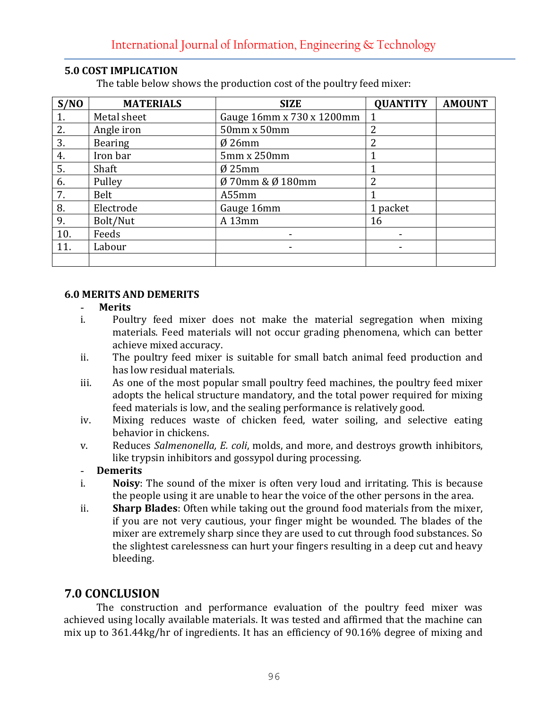| S/NO | <b>MATERIALS</b> | <b>SIZE</b>               | <b>QUANTITY</b> | <b>AMOUNT</b> |
|------|------------------|---------------------------|-----------------|---------------|
| 1.   | Metal sheet      | Gauge 16mm x 730 x 1200mm | $\mathbf{1}$    |               |
| 2.   | Angle iron       | 50mm x 50mm               | 2               |               |
| 3.   | <b>Bearing</b>   | $Ø$ 26mm                  | 2               |               |
| 4.   | Iron bar         | 5mm x 250mm               |                 |               |
| 5.   | Shaft            | $Ø$ 25mm                  |                 |               |
| 6.   | Pulley           | Ø 70mm & Ø 180mm          | $\overline{2}$  |               |
| 7.   | Belt             | A55mm                     |                 |               |
| 8.   | Electrode        | Gauge 16mm                | 1 packet        |               |
| 9.   | Bolt/Nut         | A13mm                     | 16              |               |
| 10.  | Feeds            |                           |                 |               |
| 11.  | Labour           |                           |                 |               |
|      |                  |                           |                 |               |

#### 5.0 COST IMPLICATION

The table below shows the production cost of the poultry feed mixer:

#### 6.0 MERITS AND DEMERITS

#### - Merits

- i. Poultry feed mixer does not make the material segregation when mixing materials. Feed materials will not occur grading phenomena, which can better achieve mixed accuracy.
- ii. The poultry feed mixer is suitable for small batch animal feed production and has low residual materials.
- iii. As one of the most popular small poultry feed machines, the poultry feed mixer adopts the helical structure mandatory, and the total power required for mixing feed materials is low, and the sealing performance is relatively good.
- iv. Mixing reduces waste of chicken feed, water soiling, and selective eating behavior in chickens.
- v. Reduces Salmenonella, E. coli, molds, and more, and destroys growth inhibitors, like trypsin inhibitors and gossypol during processing.

#### - Demerits

- i. Noisy: The sound of the mixer is often very loud and irritating. This is because the people using it are unable to hear the voice of the other persons in the area.
- ii. Sharp Blades: Often while taking out the ground food materials from the mixer, if you are not very cautious, your finger might be wounded. The blades of the mixer are extremely sharp since they are used to cut through food substances. So the slightest carelessness can hurt your fingers resulting in a deep cut and heavy bleeding.

## 7.0 CONCLUSION

The construction and performance evaluation of the poultry feed mixer was achieved using locally available materials. It was tested and affirmed that the machine can mix up to 361.44kg/hr of ingredients. It has an efficiency of 90.16% degree of mixing and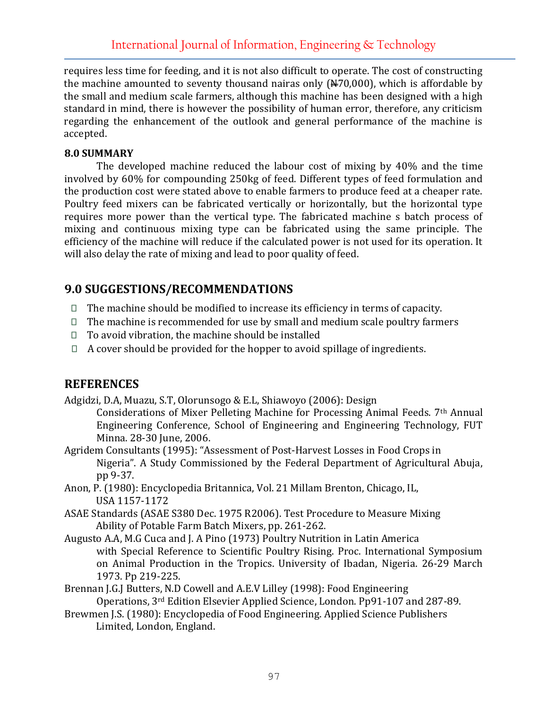requires less time for feeding, and it is not also difficult to operate. The cost of constructing the machine amounted to seventy thousand nairas only  $(\frac{1470,000}{100})$ , which is affordable by the small and medium scale farmers, although this machine has been designed with a high standard in mind, there is however the possibility of human error, therefore, any criticism regarding the enhancement of the outlook and general performance of the machine is accepted.

#### 8.0 SUMMARY

 The developed machine reduced the labour cost of mixing by 40% and the time involved by 60% for compounding 250kg of feed. Different types of feed formulation and the production cost were stated above to enable farmers to produce feed at a cheaper rate. Poultry feed mixers can be fabricated vertically or horizontally, but the horizontal type requires more power than the vertical type. The fabricated machine s batch process of mixing and continuous mixing type can be fabricated using the same principle. The efficiency of the machine will reduce if the calculated power is not used for its operation. It will also delay the rate of mixing and lead to poor quality of feed.

## 9.0 SUGGESTIONS/RECOMMENDATIONS

- $\Box$  The machine should be modified to increase its efficiency in terms of capacity.
- $\Box$  The machine is recommended for use by small and medium scale poultry farmers
- $\Box$  To avoid vibration, the machine should be installed
- $\Box$  A cover should be provided for the hopper to avoid spillage of ingredients.

## **REFERENCES**

Adgidzi, D.A, Muazu, S.T, Olorunsogo & E.L, Shiawoyo (2006): Design

Considerations of Mixer Pelleting Machine for Processing Animal Feeds. 7th Annual Engineering Conference, School of Engineering and Engineering Technology, FUT Minna. 28-30 June, 2006.

- Agridem Consultants (1995): "Assessment of Post-Harvest Losses in Food Crops in Nigeria". A Study Commissioned by the Federal Department of Agricultural Abuja, pp 9-37.
- Anon, P. (1980): Encyclopedia Britannica, Vol. 21 Millam Brenton, Chicago, IL, USA 1157-1172
- ASAE Standards (ASAE S380 Dec. 1975 R2006). Test Procedure to Measure Mixing Ability of Potable Farm Batch Mixers, pp. 261-262.
- Augusto A.A, M.G Cuca and J. A Pino (1973) Poultry Nutrition in Latin America with Special Reference to Scientific Poultry Rising. Proc. International Symposium on Animal Production in the Tropics. University of Ibadan, Nigeria. 26-29 March 1973. Pp 219-225.
- Brennan J.G.J Butters, N.D Cowell and A.E.V Lilley (1998): Food Engineering Operations, 3rd Edition Elsevier Applied Science, London. Pp91-107 and 287-89.
- Brewmen J.S. (1980): Encyclopedia of Food Engineering. Applied Science Publishers Limited, London, England.